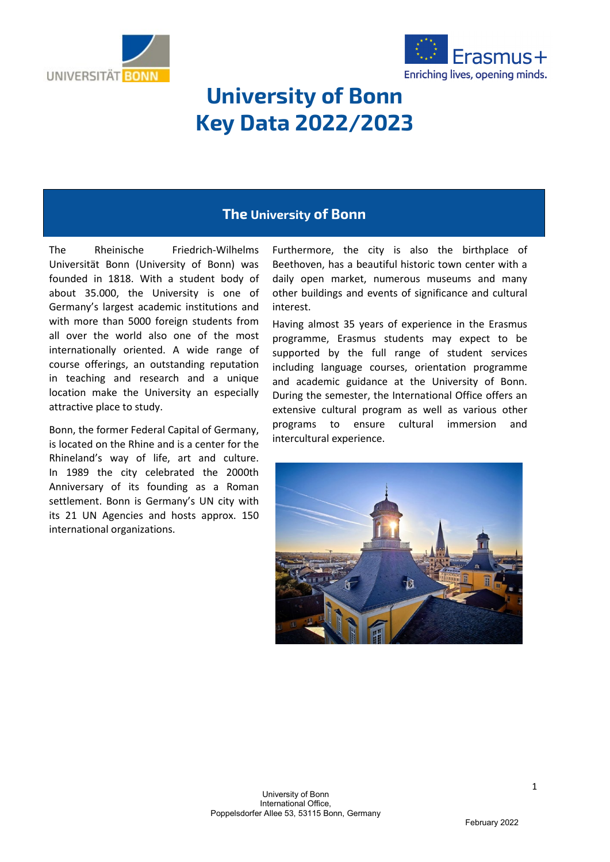



# **University of Bonn Key Data 2022/2023**

# **The University of Bonn**

The Rheinische Friedrich-Wilhelms Universität Bonn (University of Bonn) was founded in 1818. With a student body of about 35.000, the University is one of Germany's largest academic institutions and with more than 5000 foreign students from all over the world also one of the most internationally oriented. A wide range of course offerings, an outstanding reputation in teaching and research and a unique location make the University an especially attractive place to study.

Bonn, the former Federal Capital of Germany, is located on the Rhine and is a center for the Rhineland's way of life, art and culture. In 1989 the city celebrated the 2000th Anniversary of its founding as a Roman settlement. Bonn is Germany's UN city with its 21 UN Agencies and hosts approx. 150 international organizations.

Furthermore, the city is also the birthplace of Beethoven, has a beautiful historic town center with a daily open market, numerous museums and many other buildings and events of significance and cultural interest.

Having almost 35 years of experience in the Erasmus programme, Erasmus students may expect to be supported by the full range of student services including language courses, orientation programme and academic guidance at the University of Bonn. During the semester, the International Office offers an extensive cultural program as well as various other programs to ensure cultural immersion and intercultural experience.



February 2022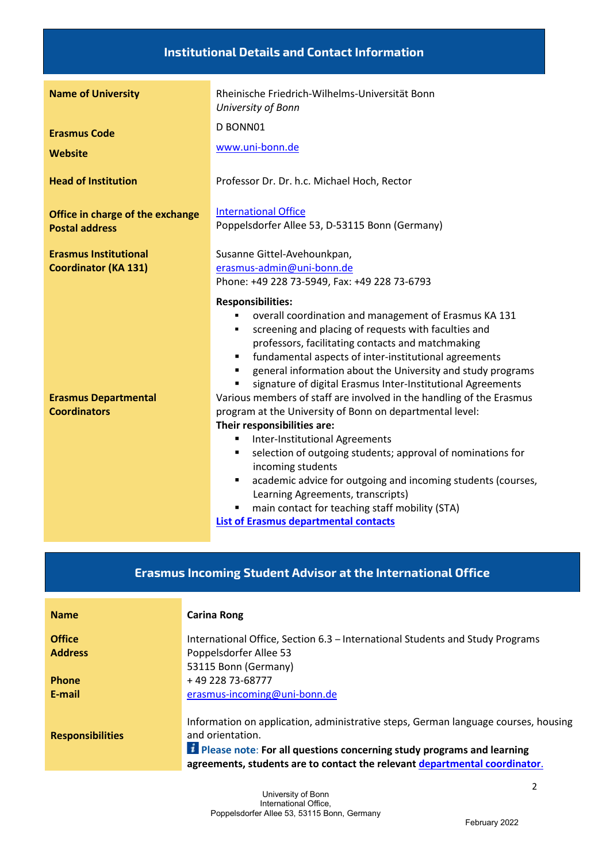### **Institutional Details and Contact Information**

| <b>Name of University</b>                                   | Rheinische Friedrich-Wilhelms-Universität Bonn<br>University of Bonn                                                                                                                                                                                                                                                                                                                                                                                                                                                                                                                                                                                                                                                                                                                                                                                                                                           |
|-------------------------------------------------------------|----------------------------------------------------------------------------------------------------------------------------------------------------------------------------------------------------------------------------------------------------------------------------------------------------------------------------------------------------------------------------------------------------------------------------------------------------------------------------------------------------------------------------------------------------------------------------------------------------------------------------------------------------------------------------------------------------------------------------------------------------------------------------------------------------------------------------------------------------------------------------------------------------------------|
| <b>Erasmus Code</b>                                         | D BONN01                                                                                                                                                                                                                                                                                                                                                                                                                                                                                                                                                                                                                                                                                                                                                                                                                                                                                                       |
| Website                                                     | www.uni-bonn.de                                                                                                                                                                                                                                                                                                                                                                                                                                                                                                                                                                                                                                                                                                                                                                                                                                                                                                |
| <b>Head of Institution</b>                                  | Professor Dr. Dr. h.c. Michael Hoch, Rector                                                                                                                                                                                                                                                                                                                                                                                                                                                                                                                                                                                                                                                                                                                                                                                                                                                                    |
| Office in charge of the exchange<br><b>Postal address</b>   | <b>International Office</b><br>Poppelsdorfer Allee 53, D-53115 Bonn (Germany)                                                                                                                                                                                                                                                                                                                                                                                                                                                                                                                                                                                                                                                                                                                                                                                                                                  |
| <b>Erasmus Institutional</b><br><b>Coordinator (KA 131)</b> | Susanne Gittel-Avehounkpan,<br>erasmus-admin@uni-bonn.de<br>Phone: +49 228 73-5949, Fax: +49 228 73-6793                                                                                                                                                                                                                                                                                                                                                                                                                                                                                                                                                                                                                                                                                                                                                                                                       |
| <b>Erasmus Departmental</b><br><b>Coordinators</b>          | <b>Responsibilities:</b><br>overall coordination and management of Erasmus KA 131<br>screening and placing of requests with faculties and<br>٠<br>professors, facilitating contacts and matchmaking<br>fundamental aspects of inter-institutional agreements<br>٠<br>general information about the University and study programs<br>signature of digital Erasmus Inter-Institutional Agreements<br>Various members of staff are involved in the handling of the Erasmus<br>program at the University of Bonn on departmental level:<br>Their responsibilities are:<br>Inter-Institutional Agreements<br>٠<br>selection of outgoing students; approval of nominations for<br>٠<br>incoming students<br>academic advice for outgoing and incoming students (courses,<br>٠<br>Learning Agreements, transcripts)<br>main contact for teaching staff mobility (STA)<br><b>List of Erasmus departmental contacts</b> |

# **Erasmus Incoming Student Advisor at the International Office**

| <b>Name</b>             | <b>Carina Rong</b>                                                                                                                                                                                                                                               |
|-------------------------|------------------------------------------------------------------------------------------------------------------------------------------------------------------------------------------------------------------------------------------------------------------|
| <b>Office</b>           | International Office, Section 6.3 - International Students and Study Programs                                                                                                                                                                                    |
| <b>Address</b>          | Poppelsdorfer Allee 53                                                                                                                                                                                                                                           |
|                         | 53115 Bonn (Germany)                                                                                                                                                                                                                                             |
| Phone                   | +49 228 73-68777                                                                                                                                                                                                                                                 |
| E-mail                  | erasmus-incoming@uni-bonn.de                                                                                                                                                                                                                                     |
| <b>Responsibilities</b> | Information on application, administrative steps, German language courses, housing<br>and orientation.<br>El Please note: For all questions concerning study programs and learning<br>agreements, students are to contact the relevant departmental coordinator. |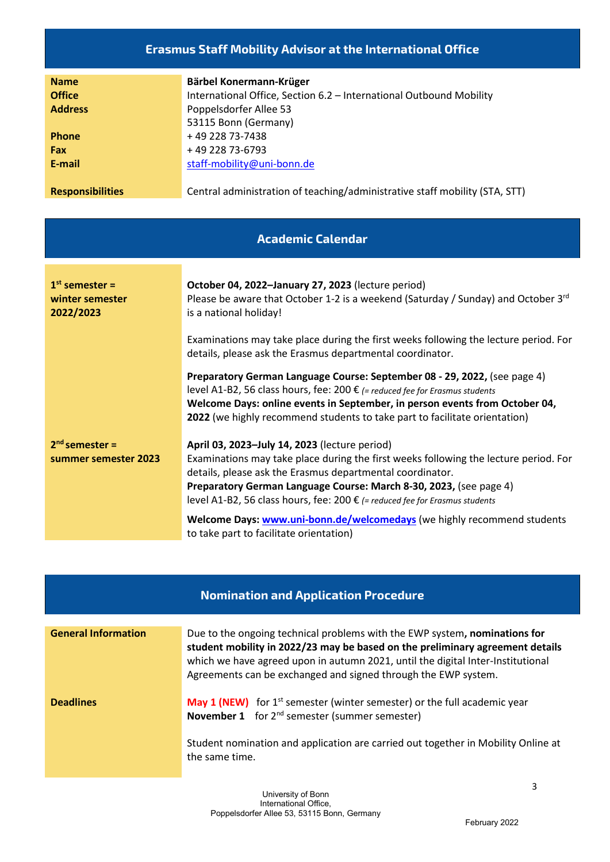#### **Erasmus Staff Mobility Advisor at the International Office**

| <b>Name</b>             | Bärbel Konermann-Krüger                                                     |
|-------------------------|-----------------------------------------------------------------------------|
| <b>Office</b>           | International Office, Section 6.2 - International Outbound Mobility         |
| <b>Address</b>          | Poppelsdorfer Allee 53                                                      |
|                         | 53115 Bonn (Germany)                                                        |
| <b>Phone</b>            | +49 228 73-7438                                                             |
| Fax                     | +49 228 73-6793                                                             |
| E-mail                  | staff-mobility@uni-bonn.de                                                  |
|                         |                                                                             |
| <b>Responsibilities</b> | Central administration of teaching/administrative staff mobility (STA, STT) |

**Academic Calendar**

| $1st$ semester =<br>winter semester<br>2022/2023 | October 04, 2022-January 27, 2023 (lecture period)<br>Please be aware that October 1-2 is a weekend (Saturday / Sunday) and October $3^{rd}$<br>is a national holiday!                                                                                                                                                |
|--------------------------------------------------|-----------------------------------------------------------------------------------------------------------------------------------------------------------------------------------------------------------------------------------------------------------------------------------------------------------------------|
|                                                  | Examinations may take place during the first weeks following the lecture period. For<br>details, please ask the Erasmus departmental coordinator.                                                                                                                                                                     |
|                                                  | Preparatory German Language Course: September 08 - 29, 2022, (see page 4)<br>level A1-B2, 56 class hours, fee: 200 € (= reduced fee for Erasmus students<br>Welcome Days: online events in September, in person events from October 04,<br>2022 (we highly recommend students to take part to facilitate orientation) |
| $2nd$ semester =                                 | April 03, 2023-July 14, 2023 (lecture period)                                                                                                                                                                                                                                                                         |
| summer semester 2023                             | Examinations may take place during the first weeks following the lecture period. For<br>details, please ask the Erasmus departmental coordinator.                                                                                                                                                                     |
|                                                  | Preparatory German Language Course: March 8-30, 2023, (see page 4)                                                                                                                                                                                                                                                    |
|                                                  | level A1-B2, 56 class hours, fee: 200 € (= reduced fee for Erasmus students                                                                                                                                                                                                                                           |
|                                                  | Welcome Days: www.uni-bonn.de/welcomedays (we highly recommend students<br>to take part to facilitate orientation)                                                                                                                                                                                                    |

| <b>Nomination and Application Procedure</b> |                                                                                                                                                                                                                                                                                                                  |
|---------------------------------------------|------------------------------------------------------------------------------------------------------------------------------------------------------------------------------------------------------------------------------------------------------------------------------------------------------------------|
| <b>General Information</b>                  | Due to the ongoing technical problems with the EWP system, nominations for<br>student mobility in 2022/23 may be based on the preliminary agreement details<br>which we have agreed upon in autumn 2021, until the digital Inter-Institutional<br>Agreements can be exchanged and signed through the EWP system. |
| <b>Deadlines</b>                            | <b>May 1 (NEW)</b> for $1^{st}$ semester (winter semester) or the full academic year<br><b>November 1</b> for 2 <sup>nd</sup> semester (summer semester)                                                                                                                                                         |
|                                             | Student nomination and application are carried out together in Mobility Online at<br>the same time.                                                                                                                                                                                                              |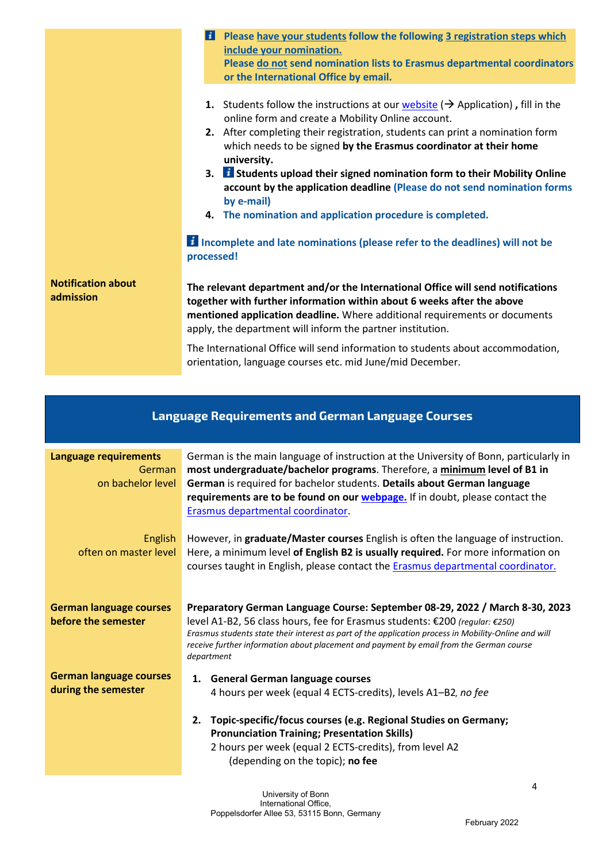|                                        | Please have your students follow the following 3 registration steps which<br>и<br>include your nomination.<br>Please do not send nomination lists to Erasmus departmental coordinators<br>or the International Office by email.                                                                                                                                                                                                                                                                                                                                                 |
|----------------------------------------|---------------------------------------------------------------------------------------------------------------------------------------------------------------------------------------------------------------------------------------------------------------------------------------------------------------------------------------------------------------------------------------------------------------------------------------------------------------------------------------------------------------------------------------------------------------------------------|
|                                        | <b>1.</b> Students follow the instructions at our <i>website</i> ( $\rightarrow$ Application), fill in the<br>online form and create a Mobility Online account.<br>2. After completing their registration, students can print a nomination form<br>which needs to be signed by the Erasmus coordinator at their home<br>university.<br>3. <i>i</i> Students upload their signed nomination form to their Mobility Online<br>account by the application deadline (Please do not send nomination forms<br>by e-mail)<br>4. The nomination and application procedure is completed. |
|                                        | <b>El Incomplete and late nominations (please refer to the deadlines) will not be</b><br>processed!                                                                                                                                                                                                                                                                                                                                                                                                                                                                             |
| <b>Notification about</b><br>admission | The relevant department and/or the International Office will send notifications<br>together with further information within about 6 weeks after the above<br>mentioned application deadline. Where additional requirements or documents<br>apply, the department will inform the partner institution.                                                                                                                                                                                                                                                                           |
|                                        | The International Office will send information to students about accommodation,<br>orientation, language courses etc. mid June/mid December.                                                                                                                                                                                                                                                                                                                                                                                                                                    |

# **Language Requirements and German Language Courses**

| Language requirements<br>German<br>on bachelor level  | German is the main language of instruction at the University of Bonn, particularly in<br>most undergraduate/bachelor programs. Therefore, a minimum level of B1 in<br>German is required for bachelor students. Details about German language<br>requirements are to be found on our webpage. If in doubt, please contact the<br>Erasmus departmental coordinator.           |
|-------------------------------------------------------|------------------------------------------------------------------------------------------------------------------------------------------------------------------------------------------------------------------------------------------------------------------------------------------------------------------------------------------------------------------------------|
| English<br>often on master level                      | However, in graduate/Master courses English is often the language of instruction.<br>Here, a minimum level of English B2 is usually required. For more information on<br>courses taught in English, please contact the Erasmus departmental coordinator.                                                                                                                     |
| <b>German language courses</b><br>before the semester | Preparatory German Language Course: September 08-29, 2022 / March 8-30, 2023<br>level A1-B2, 56 class hours, fee for Erasmus students: €200 (regular: €250)<br>Erasmus students state their interest as part of the application process in Mobility-Online and will<br>receive further information about placement and payment by email from the German course<br>department |
| <b>German language courses</b><br>during the semester | 1. General German language courses<br>4 hours per week (equal 4 ECTS-credits), levels A1-B2, no fee<br>Topic-specific/focus courses (e.g. Regional Studies on Germany;<br>2.<br><b>Pronunciation Training; Presentation Skills)</b><br>2 hours per week (equal 2 ECTS-credits), from level A2<br>(depending on the topic); no fee                                            |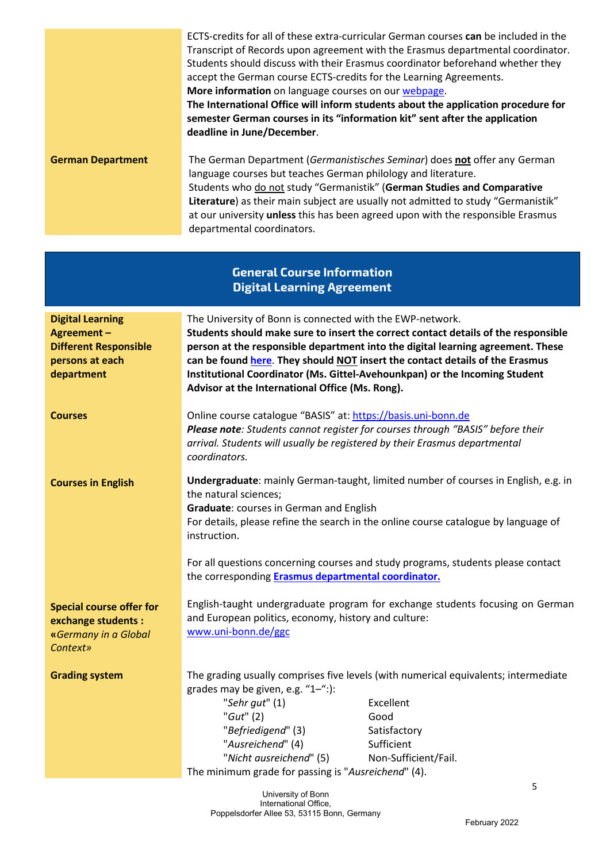|                                                                                                        | More information on language courses on our webpage.<br>deadline in June/December.                                                                                                                                                                                                                                                                                                                                                                  | ECTS-credits for all of these extra-curricular German courses can be included in the<br>Transcript of Records upon agreement with the Erasmus departmental coordinator.<br>Students should discuss with their Erasmus coordinator beforehand whether they<br>accept the German course ECTS-credits for the Learning Agreements.<br>The International Office will inform students about the application procedure for<br>semester German courses in its "information kit" sent after the application |
|--------------------------------------------------------------------------------------------------------|-----------------------------------------------------------------------------------------------------------------------------------------------------------------------------------------------------------------------------------------------------------------------------------------------------------------------------------------------------------------------------------------------------------------------------------------------------|-----------------------------------------------------------------------------------------------------------------------------------------------------------------------------------------------------------------------------------------------------------------------------------------------------------------------------------------------------------------------------------------------------------------------------------------------------------------------------------------------------|
| <b>German Department</b>                                                                               | language courses but teaches German philology and literature.<br>departmental coordinators.                                                                                                                                                                                                                                                                                                                                                         | The German Department (Germanistisches Seminar) does not offer any German<br>Students who do not study "Germanistik" (German Studies and Comparative<br>Literature) as their main subject are usually not admitted to study "Germanistik"<br>at our university unless this has been agreed upon with the responsible Erasmus                                                                                                                                                                        |
|                                                                                                        | <b>General Course Information</b><br><b>Digital Learning Agreement</b>                                                                                                                                                                                                                                                                                                                                                                              |                                                                                                                                                                                                                                                                                                                                                                                                                                                                                                     |
| <b>Digital Learning</b><br>Agreement-<br><b>Different Responsible</b><br>persons at each<br>department | The University of Bonn is connected with the EWP-network.<br>Students should make sure to insert the correct contact details of the responsible<br>person at the responsible department into the digital learning agreement. These<br>can be found here. They should NOT insert the contact details of the Erasmus<br>Institutional Coordinator (Ms. Gittel-Avehounkpan) or the Incoming Student<br>Advisor at the International Office (Ms. Rong). |                                                                                                                                                                                                                                                                                                                                                                                                                                                                                                     |
| <b>Courses</b>                                                                                         | Online course catalogue "BASIS" at: https://basis.uni-bonn.de<br>coordinators.                                                                                                                                                                                                                                                                                                                                                                      | Please note: Students cannot register for courses through "BASIS" before their<br>arrival. Students will usually be registered by their Erasmus departmental                                                                                                                                                                                                                                                                                                                                        |
| <b>Courses in English</b>                                                                              | the natural sciences;<br>Graduate: courses in German and English<br>instruction.                                                                                                                                                                                                                                                                                                                                                                    | Undergraduate: mainly German-taught, limited number of courses in English, e.g. in<br>For details, please refine the search in the online course catalogue by language of                                                                                                                                                                                                                                                                                                                           |
|                                                                                                        | the corresponding Erasmus departmental coordinator.                                                                                                                                                                                                                                                                                                                                                                                                 | For all questions concerning courses and study programs, students please contact                                                                                                                                                                                                                                                                                                                                                                                                                    |
| <b>Special course offer for</b><br>exchange students :<br>«Germany in a Global<br>Context»             | and European politics, economy, history and culture:<br>www.uni-bonn.de/ggc                                                                                                                                                                                                                                                                                                                                                                         | English-taught undergraduate program for exchange students focusing on German                                                                                                                                                                                                                                                                                                                                                                                                                       |
| <b>Grading system</b>                                                                                  | grades may be given, e.g. "1-":):<br>"Sehr gut" (1)<br>" $Gut$ " (2)<br>"Befriedigend" (3)<br>"Ausreichend" (4)                                                                                                                                                                                                                                                                                                                                     | The grading usually comprises five levels (with numerical equivalents; intermediate<br>Excellent<br>Good<br>Satisfactory<br>Sufficient                                                                                                                                                                                                                                                                                                                                                              |

University of Bonn International Office, Poppelsdorfer Allee 53, 53115 Bonn, Germany

The minimum grade for passing is "*Ausreichend*" (4).

"*Nicht ausreichend*" (5) Non-Sufficient/Fail.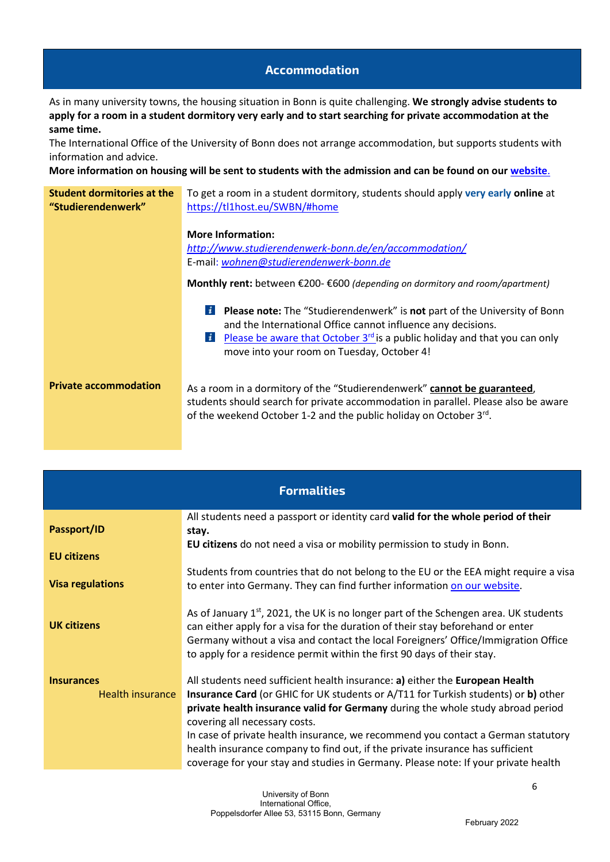#### **Accommodation**

As in many university towns, the housing situation in Bonn is quite challenging. **We strongly advise students to apply for a room in a student dormitory very early and to start searching for private accommodation at the same time.**

The International Office of the University of Bonn does not arrange accommodation, but supports students with information and advice.

**More information on housing will be sent to students with the admission and can be found on our [website](https://www.uni-bonn.de/en/university/university-life/living-in-bonn?set_language=en)**.

| Student dormitories at the<br>"Studierendenwerk" | To get a room in a student dormitory, students should apply very early online at<br>https://tl1host.eu/SWBN/#home                                                                                                                                                                                              |
|--------------------------------------------------|----------------------------------------------------------------------------------------------------------------------------------------------------------------------------------------------------------------------------------------------------------------------------------------------------------------|
|                                                  | <b>More Information:</b>                                                                                                                                                                                                                                                                                       |
|                                                  | http://www.studierendenwerk-bonn.de/en/accommodation/                                                                                                                                                                                                                                                          |
|                                                  | E-mail: wohnen@studierendenwerk-bonn.de                                                                                                                                                                                                                                                                        |
|                                                  | Monthly rent: between $\epsilon$ 200- $\epsilon$ 600 (depending on dormitory and room/apartment)                                                                                                                                                                                                               |
|                                                  | <b>Please note:</b> The "Studierendenwerk" is not part of the University of Bonn<br>$\boldsymbol{i}$<br>and the International Office cannot influence any decisions.<br><b>E</b> Please be aware that October $3^{rd}$ is a public holiday and that you can only<br>move into your room on Tuesday, October 4! |
| <b>Private accommodation</b>                     | As a room in a dormitory of the "Studierendenwerk" cannot be guaranteed,<br>students should search for private accommodation in parallel. Please also be aware<br>of the weekend October 1-2 and the public holiday on October 3rd.                                                                            |

| <b>Formalities</b>                    |                                                                                                                                                                                                                                                                                                                                                                                                                                                                                                                                                                  |
|---------------------------------------|------------------------------------------------------------------------------------------------------------------------------------------------------------------------------------------------------------------------------------------------------------------------------------------------------------------------------------------------------------------------------------------------------------------------------------------------------------------------------------------------------------------------------------------------------------------|
| Passport/ID                           | All students need a passport or identity card valid for the whole period of their<br>stay.                                                                                                                                                                                                                                                                                                                                                                                                                                                                       |
| <b>EU citizens</b>                    | EU citizens do not need a visa or mobility permission to study in Bonn.                                                                                                                                                                                                                                                                                                                                                                                                                                                                                          |
| <b>Visa regulations</b>               | Students from countries that do not belong to the EU or the EEA might require a visa<br>to enter into Germany. They can find further information on our website.                                                                                                                                                                                                                                                                                                                                                                                                 |
| <b>UK citizens</b>                    | As of January 1 <sup>st</sup> , 2021, the UK is no longer part of the Schengen area. UK students<br>can either apply for a visa for the duration of their stay beforehand or enter<br>Germany without a visa and contact the local Foreigners' Office/Immigration Office<br>to apply for a residence permit within the first 90 days of their stay.                                                                                                                                                                                                              |
| <b>Insurances</b><br>Health insurance | All students need sufficient health insurance: a) either the European Health<br><b>Insurance Card</b> (or GHIC for UK students or A/T11 for Turkish students) or <b>b</b> ) other<br>private health insurance valid for Germany during the whole study abroad period<br>covering all necessary costs.<br>In case of private health insurance, we recommend you contact a German statutory<br>health insurance company to find out, if the private insurance has sufficient<br>coverage for your stay and studies in Germany. Please note: If your private health |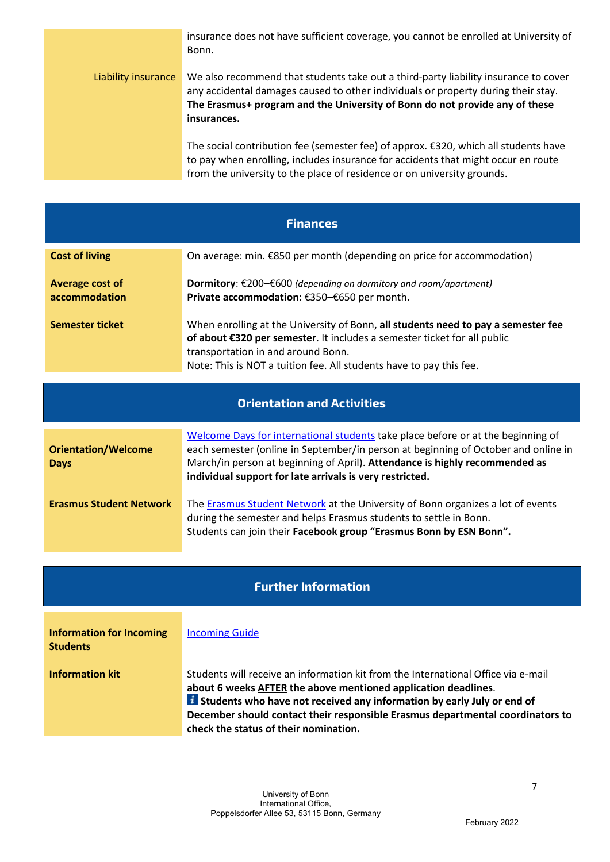|                     | insurance does not have sufficient coverage, you cannot be enrolled at University of<br>Bonn.                                                                                                                                                                          |
|---------------------|------------------------------------------------------------------------------------------------------------------------------------------------------------------------------------------------------------------------------------------------------------------------|
| Liability insurance | We also recommend that students take out a third-party liability insurance to cover<br>any accidental damages caused to other individuals or property during their stay.<br>The Erasmus+ program and the University of Bonn do not provide any of these<br>insurances. |
|                     | The social contribution fee (semester fee) of approx. €320, which all students have<br>to pay when enrolling, includes insurance for accidents that might occur en route<br>from the university to the place of residence or on university grounds.                    |

| <b>Finances</b>                  |                                                                                                                                                                                                                                                                            |
|----------------------------------|----------------------------------------------------------------------------------------------------------------------------------------------------------------------------------------------------------------------------------------------------------------------------|
| <b>Cost of living</b>            | On average: min. €850 per month (depending on price for accommodation)                                                                                                                                                                                                     |
| Average cost of<br>accommodation | <b>Dormitory:</b> $\epsilon$ 200– $\epsilon$ 600 (depending on dormitory and room/apartment)<br>Private accommodation: €350-€650 per month.                                                                                                                                |
| <b>Semester ticket</b>           | When enrolling at the University of Bonn, all students need to pay a semester fee<br>of about €320 per semester. It includes a semester ticket for all public<br>transportation in and around Bonn.<br>Note: This is NOT a tuition fee. All students have to pay this fee. |

| <b>Orientation and Activities</b>         |                                                                                                                                                                                                                                                                                                                   |  |
|-------------------------------------------|-------------------------------------------------------------------------------------------------------------------------------------------------------------------------------------------------------------------------------------------------------------------------------------------------------------------|--|
| <b>Orientation/Welcome</b><br><b>Days</b> | Welcome Days for international students take place before or at the beginning of<br>each semester (online in September/in person at beginning of October and online in<br>March/in person at beginning of April). Attendance is highly recommended as<br>individual support for late arrivals is very restricted. |  |
| <b>Erasmus Student Network</b>            | The Erasmus Student Network at the University of Bonn organizes a lot of events<br>during the semester and helps Erasmus students to settle in Bonn.<br>Students can join their Facebook group "Erasmus Bonn by ESN Bonn".                                                                                        |  |

## **Further Information**

 $\overline{\phantom{a}}$ 

| <b>Information for Incoming</b><br><b>Students</b> | <b>Incoming Guide</b>                                                                                                                                                                                                                                                                                                                                              |
|----------------------------------------------------|--------------------------------------------------------------------------------------------------------------------------------------------------------------------------------------------------------------------------------------------------------------------------------------------------------------------------------------------------------------------|
| <b>Information kit</b>                             | Students will receive an information kit from the International Office via e-mail<br>about 6 weeks AFTER the above mentioned application deadlines.<br><b>El</b> Students who have not received any information by early July or end of<br>December should contact their responsible Erasmus departmental coordinators to<br>check the status of their nomination. |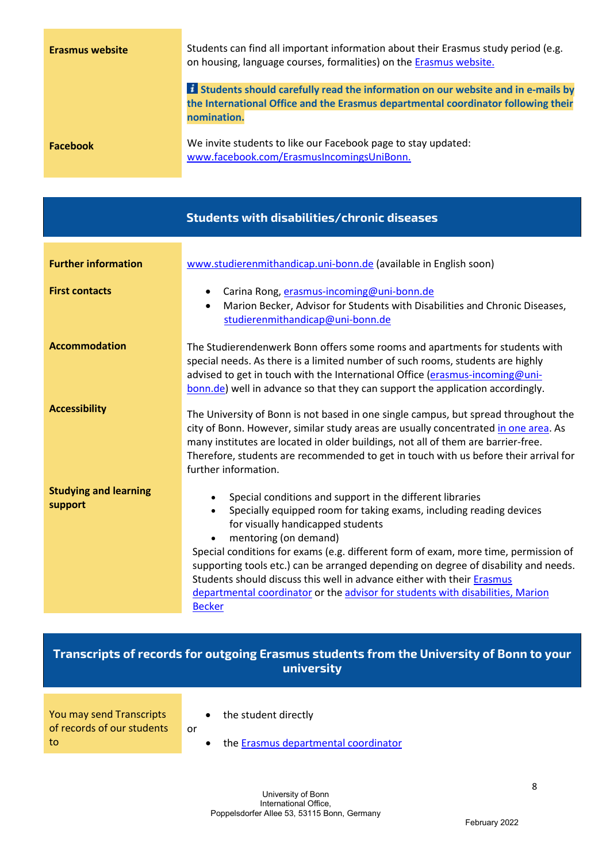| <b>Erasmus website</b> | Students can find all important information about their Erasmus study period (e.g.<br>on housing, language courses, formalities) on the Erasmus website.                                      |
|------------------------|-----------------------------------------------------------------------------------------------------------------------------------------------------------------------------------------------|
|                        | <b>El</b> Students should carefully read the information on our website and in e-mails by<br>the International Office and the Erasmus departmental coordinator following their<br>nomination. |
| <b>Facebook</b>        | We invite students to like our Facebook page to stay updated:<br>www.facebook.com/ErasmusIncomingsUniBonn.                                                                                    |

|                                         | Students with disabilities/chronic diseases                                                                                                                                                                                                                                                                                                                                                                                                                                                                                                                            |
|-----------------------------------------|------------------------------------------------------------------------------------------------------------------------------------------------------------------------------------------------------------------------------------------------------------------------------------------------------------------------------------------------------------------------------------------------------------------------------------------------------------------------------------------------------------------------------------------------------------------------|
| <b>Further information</b>              | www.studierenmithandicap.uni-bonn.de (available in English soon)                                                                                                                                                                                                                                                                                                                                                                                                                                                                                                       |
| <b>First contacts</b>                   | Carina Rong, erasmus-incoming@uni-bonn.de<br>Marion Becker, Advisor for Students with Disabilities and Chronic Diseases,<br>studierenmithandicap@uni-bonn.de                                                                                                                                                                                                                                                                                                                                                                                                           |
| <b>Accommodation</b>                    | The Studierendenwerk Bonn offers some rooms and apartments for students with<br>special needs. As there is a limited number of such rooms, students are highly<br>advised to get in touch with the International Office (erasmus-incoming@uni-<br>bonn.de) well in advance so that they can support the application accordingly.                                                                                                                                                                                                                                       |
| <b>Accessibility</b>                    | The University of Bonn is not based in one single campus, but spread throughout the<br>city of Bonn. However, similar study areas are usually concentrated in one area. As<br>many institutes are located in older buildings, not all of them are barrier-free.<br>Therefore, students are recommended to get in touch with us before their arrival for<br>further information.                                                                                                                                                                                        |
| <b>Studying and learning</b><br>support | Special conditions and support in the different libraries<br>Specially equipped room for taking exams, including reading devices<br>$\bullet$<br>for visually handicapped students<br>mentoring (on demand)<br>Special conditions for exams (e.g. different form of exam, more time, permission of<br>supporting tools etc.) can be arranged depending on degree of disability and needs.<br>Students should discuss this well in advance either with their Erasmus<br>departmental coordinator or the advisor for students with disabilities, Marion<br><b>Becker</b> |

# **Transcripts of records for outgoing Erasmus students from the University of Bonn to your university**

- You may send Transcripts of records of our students to
- the student directly

or

• the [Erasmus departmental coordinator](http://www.uni-bonn.de/erasmus-departmental-coordinators)